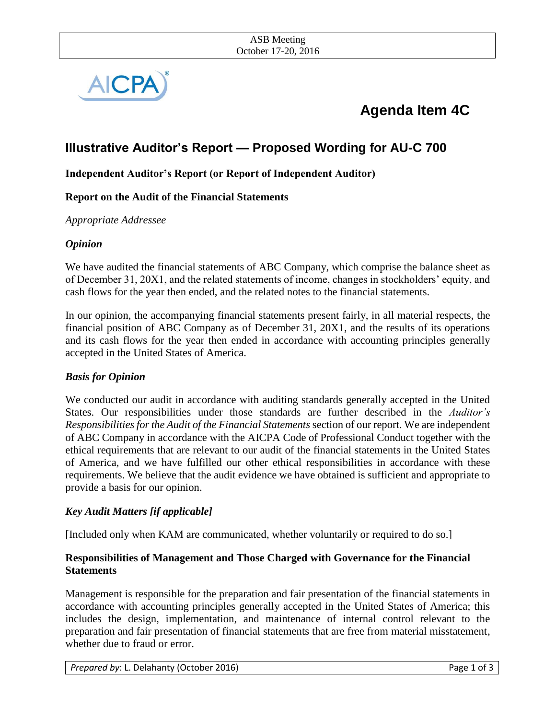

# **Agenda Item 4C**

## **Illustrative Auditor's Report — Proposed Wording for AU-C 700**

#### **Independent Auditor's Report (or Report of Independent Auditor)**

#### **Report on the Audit of the Financial Statements**

#### *Appropriate Addressee*

#### *Opinion*

We have audited the financial statements of ABC Company, which comprise the balance sheet as of December 31, 20X1, and the related statements of income, changes in stockholders' equity, and cash flows for the year then ended, and the related notes to the financial statements.

In our opinion, the accompanying financial statements present fairly, in all material respects, the financial position of ABC Company as of December 31, 20X1, and the results of its operations and its cash flows for the year then ended in accordance with accounting principles generally accepted in the United States of America.

#### *Basis for Opinion*

We conducted our audit in accordance with auditing standards generally accepted in the United States. Our responsibilities under those standards are further described in the *Auditor's Responsibilities for the Audit of the Financial Statements* section of our report. We are independent of ABC Company in accordance with the AICPA Code of Professional Conduct together with the ethical requirements that are relevant to our audit of the financial statements in the United States of America, and we have fulfilled our other ethical responsibilities in accordance with these requirements. We believe that the audit evidence we have obtained is sufficient and appropriate to provide a basis for our opinion.

#### *Key Audit Matters [if applicable]*

[Included only when KAM are communicated, whether voluntarily or required to do so.]

#### **Responsibilities of Management and Those Charged with Governance for the Financial Statements**

Management is responsible for the preparation and fair presentation of the financial statements in accordance with accounting principles generally accepted in the United States of America; this includes the design, implementation, and maintenance of internal control relevant to the preparation and fair presentation of financial statements that are free from material misstatement, whether due to fraud or error.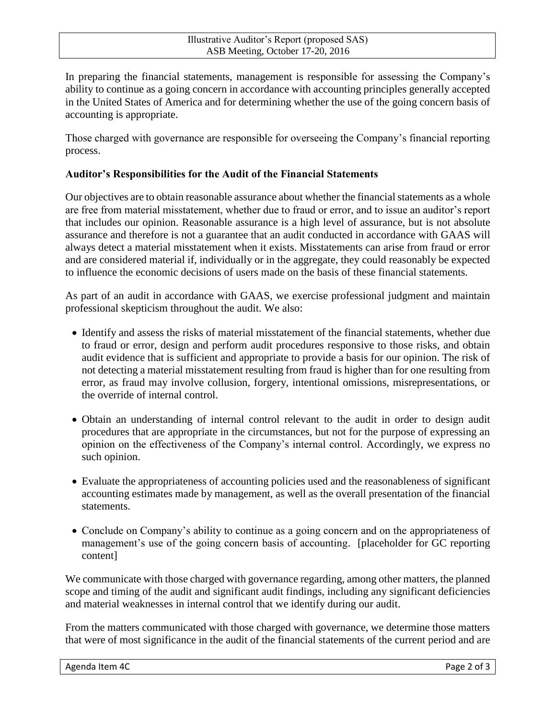In preparing the financial statements, management is responsible for assessing the Company's ability to continue as a going concern in accordance with accounting principles generally accepted in the United States of America and for determining whether the use of the going concern basis of accounting is appropriate.

Those charged with governance are responsible for overseeing the Company's financial reporting process.

#### **Auditor's Responsibilities for the Audit of the Financial Statements**

Our objectives are to obtain reasonable assurance about whether the financial statements as a whole are free from material misstatement, whether due to fraud or error, and to issue an auditor's report that includes our opinion. Reasonable assurance is a high level of assurance, but is not absolute assurance and therefore is not a guarantee that an audit conducted in accordance with GAAS will always detect a material misstatement when it exists. Misstatements can arise from fraud or error and are considered material if, individually or in the aggregate, they could reasonably be expected to influence the economic decisions of users made on the basis of these financial statements.

As part of an audit in accordance with GAAS, we exercise professional judgment and maintain professional skepticism throughout the audit. We also:

- Identify and assess the risks of material misstatement of the financial statements, whether due to fraud or error, design and perform audit procedures responsive to those risks, and obtain audit evidence that is sufficient and appropriate to provide a basis for our opinion. The risk of not detecting a material misstatement resulting from fraud is higher than for one resulting from error, as fraud may involve collusion, forgery, intentional omissions, misrepresentations, or the override of internal control.
- Obtain an understanding of internal control relevant to the audit in order to design audit procedures that are appropriate in the circumstances, but not for the purpose of expressing an opinion on the effectiveness of the Company's internal control. Accordingly, we express no such opinion.
- Evaluate the appropriateness of accounting policies used and the reasonableness of significant accounting estimates made by management, as well as the overall presentation of the financial statements.
- Conclude on Company's ability to continue as a going concern and on the appropriateness of management's use of the going concern basis of accounting. [placeholder for GC reporting content]

We communicate with those charged with governance regarding, among other matters, the planned scope and timing of the audit and significant audit findings, including any significant deficiencies and material weaknesses in internal control that we identify during our audit.

From the matters communicated with those charged with governance, we determine those matters that were of most significance in the audit of the financial statements of the current period and are